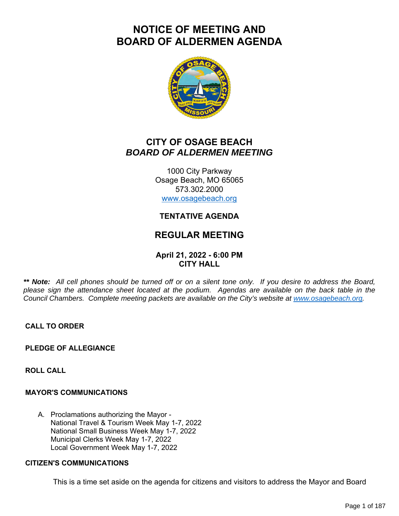# **NOTICE OF MEETING AND BOARD OF ALDERMEN AGENDA**



## **CITY OF OSAGE BEACH** *BOARD OF ALDERMEN MEETING*

1000 City Parkway Osage Beach, MO 65065 573.302.2000 www.osagebeach.org

## **TENTATIVE AGENDA**

## **REGULAR MEETING**

### **April 21, 2022 - 6:00 PM CITY HALL**

*\*\* Note: All cell phones should be turned off or on a silent tone only. If you desire to address the Board, please sign the attendance sheet located at the podium. Agendas are available on the back table in the Council Chambers. Complete meeting packets are available on the City's website at www.osagebeach.org.*

**CALL TO ORDER**

**PLEDGE OF ALLEGIANCE**

**ROLL CALL**

#### **MAYOR'S COMMUNICATIONS**

A. Proclamations authorizing the Mayor - National Travel & Tourism Week May 1-7, 2022 National Small Business Week May 1-7, 2022 Municipal Clerks Week May 1-7, 2022 Local Government Week May 1-7, 2022

#### **CITIZEN'S COMMUNICATIONS**

This is a time set aside on the agenda for citizens and visitors to address the Mayor and Board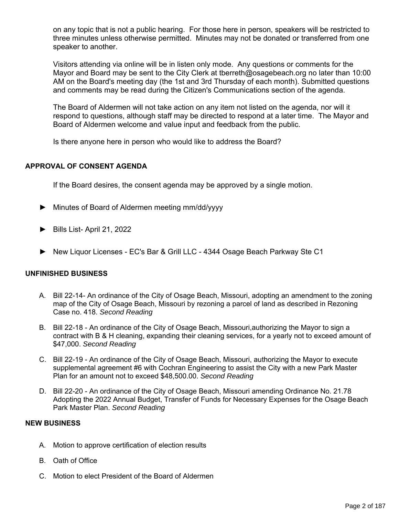on any topic that is not a public hearing. For those here in person, speakers will be restricted to three minutes unless otherwise permitted. Minutes may not be donated or transferred from one speaker to another.

Visitors attending via online will be in listen only mode. Any questions or comments for the Mayor and Board may be sent to the City Clerk at tberreth@osagebeach.org no later than 10:00 AM on the Board's meeting day (the 1st and 3rd Thursday of each month). Submitted questions and comments may be read during the Citizen's Communications section of the agenda.

The Board of Aldermen will not take action on any item not listed on the agenda, nor will it respond to questions, although staff may be directed to respond at a later time. The Mayor and Board of Aldermen welcome and value input and feedback from the public.

Is there anyone here in person who would like to address the Board?

#### **APPROVAL OF CONSENT AGENDA**

If the Board desires, the consent agenda may be approved by a single motion.

- ► Minutes of Board of Aldermen meeting mm/dd/yyyy
- ► Bills List- April 21, 2022
- ► New Liquor Licenses EC's Bar & Grill LLC 4344 Osage Beach Parkway Ste C1

#### **UNFINISHED BUSINESS**

- A. Bill 22-14- An ordinance of the City of Osage Beach, Missouri, adopting an amendment to the zoning map of the City of Osage Beach, Missouri by rezoning a parcel of land as described in Rezoning Case no. 418. *Second Reading*
- B. Bill 22-18 An ordinance of the City of Osage Beach, Missouri,authorizing the Mayor to sign a contract with B & H cleaning, expanding their cleaning services, for a yearly not to exceed amount of \$47,000. *Second Reading*
- C. Bill 22-19 An ordinance of the City of Osage Beach, Missouri, authorizing the Mayor to execute supplemental agreement #6 with Cochran Engineering to assist the City with a new Park Master Plan for an amount not to exceed \$48,500.00. *Second Reading*
- D. Bill 22-20 An ordinance of the City of Osage Beach, Missouri amending Ordinance No. 21.78 Adopting the 2022 Annual Budget, Transfer of Funds for Necessary Expenses for the Osage Beach Park Master Plan. *Second Reading*

#### **NEW BUSINESS**

- A. Motion to approve certification of election results
- B. Oath of Office
- C. Motion to elect President of the Board of Aldermen